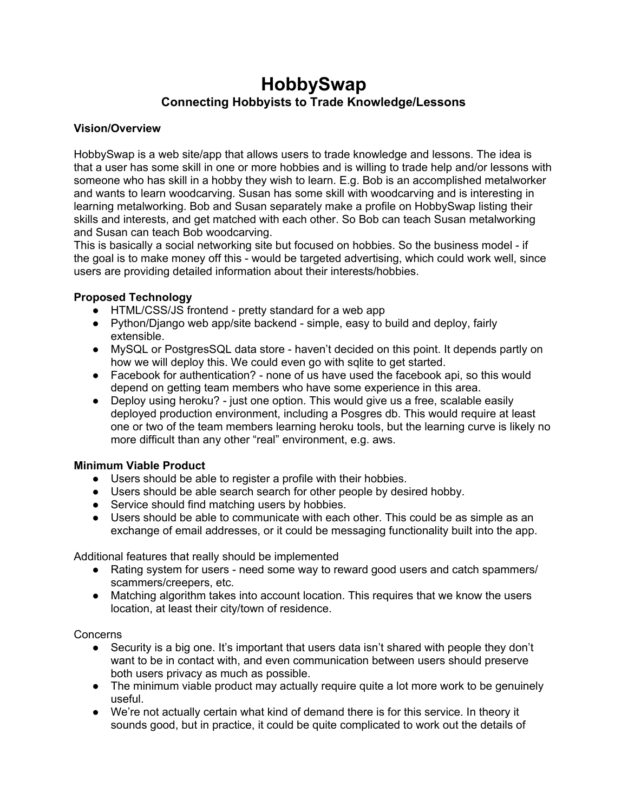## **HobbySwap Connecting Hobbyists to Trade Knowledge/Lessons**

## **Vision/Overview**

HobbySwap is a web site/app that allows users to trade knowledge and lessons. The idea is that a user has some skill in one or more hobbies and is willing to trade help and/or lessons with someone who has skill in a hobby they wish to learn. E.g. Bob is an accomplished metalworker and wants to learn woodcarving. Susan has some skill with woodcarving and is interesting in learning metalworking. Bob and Susan separately make a profile on HobbySwap listing their skills and interests, and get matched with each other. So Bob can teach Susan metalworking and Susan can teach Bob woodcarving.

This is basically a social networking site but focused on hobbies. So the business model - if the goal is to make money off this - would be targeted advertising, which could work well, since users are providing detailed information about their interests/hobbies.

## **Proposed Technology**

- HTML/CSS/JS frontend pretty standard for a web app
- Python/Django web app/site backend simple, easy to build and deploy, fairly extensible.
- MySQL or PostgresSQL data store haven't decided on this point. It depends partly on how we will deploy this. We could even go with sqlite to get started.
- Facebook for authentication? none of us have used the facebook api, so this would depend on getting team members who have some experience in this area.
- Deploy using heroku? just one option. This would give us a free, scalable easily deployed production environment, including a Posgres db. This would require at least one or two of the team members learning heroku tools, but the learning curve is likely no more difficult than any other "real" environment, e.g. aws.

## **Minimum Viable Product**

- Users should be able to register a profile with their hobbies.
- Users should be able search search for other people by desired hobby.
- Service should find matching users by hobbies.
- Users should be able to communicate with each other. This could be as simple as an exchange of email addresses, or it could be messaging functionality built into the app.

Additional features that really should be implemented

- Rating system for users need some way to reward good users and catch spammers/ scammers/creepers, etc.
- Matching algorithm takes into account location. This requires that we know the users location, at least their city/town of residence.

Concerns

- Security is a big one. It's important that users data isn't shared with people they don't want to be in contact with, and even communication between users should preserve both users privacy as much as possible.
- The minimum viable product may actually require quite a lot more work to be genuinely useful.
- We're not actually certain what kind of demand there is for this service. In theory it sounds good, but in practice, it could be quite complicated to work out the details of